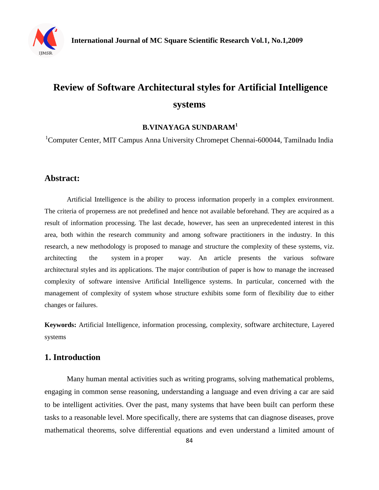

# **Review of Software Architectural styles for Artificial Intelligence systems**

#### **B.VINAYAGA SUNDARAM<sup>1</sup>**

<sup>1</sup>Computer Center, MIT Campus Anna University Chromepet Chennai-600044, Tamilnadu India

#### **Abstract:**

Artificial Intelligence is the ability to process information properly in a complex environment. The criteria of properness are not predefined and hence not available beforehand. They are acquired as a result of information processing. The last decade, however, has seen an unprecedented interest in this area, both within the research community and among software practitioners in the industry. In this research, a new methodology is proposed to manage and structure the complexity of these systems, viz. architecting the system in a proper way. An article presents the various software architectural styles and its applications. The major contribution of paper is how to manage the increased complexity of software intensive Artificial Intelligence systems. In particular, concerned with the management of complexity of system whose structure exhibits some form of flexibility due to either changes or failures.

**Keywords:** Artificial Intelligence, information processing, complexity, software architecture, Layered systems

#### **1. Introduction**

Many human mental activities such as writing programs, solving mathematical problems, engaging in common sense reasoning, understanding a language and even driving a car are said to be intelligent activities. Over the past, many systems that have been built can perform these tasks to a reasonable level. More specifically, there are systems that can diagnose diseases, prove mathematical theorems, solve differential equations and even understand a limited amount of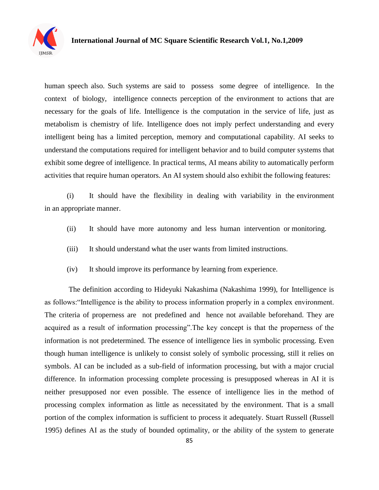

human speech also. Such systems are said to possess some degree of intelligence. In the context of biology, intelligence connects perception of the environment to actions that are necessary for the goals of life. Intelligence is the computation in the service of life, just as metabolism is chemistry of life. Intelligence does not imply perfect understanding and every intelligent being has a limited perception, memory and computational capability. AI seeks to understand the computations required for intelligent behavior and to build computer systems that exhibit some degree of intelligence. In practical terms, AI means ability to automatically perform activities that require human operators. An AI system should also exhibit the following features:

(i) It should have the flexibility in dealing with variability in the environment in an appropriate manner.

- (ii) It should have more autonomy and less human intervention or monitoring.
- (iii) It should understand what the user wants from limited instructions.
- (iv) It should improve its performance by learning from experience.

The definition according to Hideyuki Nakashima (Nakashima 1999), for Intelligence is as follows:"Intelligence is the ability to process information properly in a complex environment. The criteria of properness are not predefined and hence not available beforehand. They are acquired as a result of information processing".The key concept is that the properness of the information is not predetermined. The essence of intelligence lies in symbolic processing. Even though human intelligence is unlikely to consist solely of symbolic processing, still it relies on symbols. AI can be included as a sub-field of information processing, but with a major crucial difference. In information processing complete processing is presupposed whereas in AI it is neither presupposed nor even possible. The essence of intelligence lies in the method of processing complex information as little as necessitated by the environment. That is a small portion of the complex information is sufficient to process it adequately. Stuart Russell (Russell 1995) defines AI as the study of bounded optimality, or the ability of the system to generate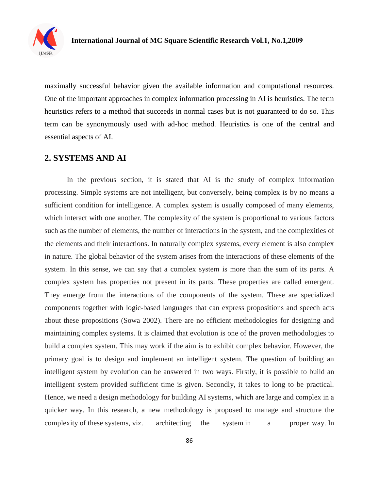

maximally successful behavior given the available information and computational resources. One of the important approaches in complex information processing in AI is heuristics. The term heuristics refers to a method that succeeds in normal cases but is not guaranteed to do so. This term can be synonymously used with ad-hoc method. Heuristics is one of the central and essential aspects of AI.

#### **2. SYSTEMS AND AI**

In the previous section, it is stated that AI is the study of complex information processing. Simple systems are not intelligent, but conversely, being complex is by no means a sufficient condition for intelligence. A complex system is usually composed of many elements, which interact with one another. The complexity of the system is proportional to various factors such as the number of elements, the number of interactions in the system, and the complexities of the elements and their interactions. In naturally complex systems, every element is also complex in nature. The global behavior of the system arises from the interactions of these elements of the system. In this sense, we can say that a complex system is more than the sum of its parts. A complex system has properties not present in its parts. These properties are called emergent. They emerge from the interactions of the components of the system. These are specialized components together with logic-based languages that can express propositions and speech acts about these propositions (Sowa 2002). There are no efficient methodologies for designing and maintaining complex systems. It is claimed that evolution is one of the proven methodologies to build a complex system. This may work if the aim is to exhibit complex behavior. However, the primary goal is to design and implement an intelligent system. The question of building an intelligent system by evolution can be answered in two ways. Firstly, it is possible to build an intelligent system provided sufficient time is given. Secondly, it takes to long to be practical. Hence, we need a design methodology for building AI systems, which are large and complex in a quicker way. In this research, a new methodology is proposed to manage and structure the complexity of these systems, viz. architecting the system in a proper way. In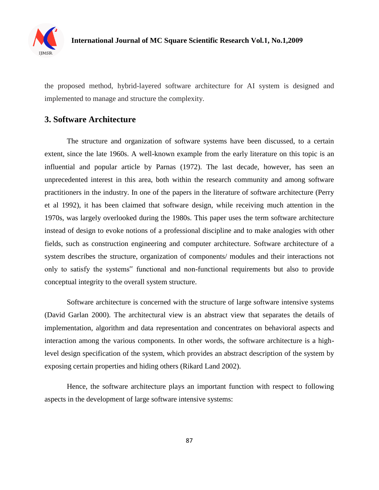

the proposed method, hybrid-layered software architecture for AI system is designed and implemented to manage and structure the complexity.

#### **3. Software Architecture**

The structure and organization of software systems have been discussed, to a certain extent, since the late 1960s. A well-known example from the early literature on this topic is an influential and popular article by Parnas (1972). The last decade, however, has seen an unprecedented interest in this area, both within the research community and among software practitioners in the industry. In one of the papers in the literature of software architecture (Perry et al 1992), it has been claimed that software design, while receiving much attention in the 1970s, was largely overlooked during the 1980s. This paper uses the term software architecture instead of design to evoke notions of a professional discipline and to make analogies with other fields, such as construction engineering and computer architecture. Software architecture of a system describes the structure, organization of components/ modules and their interactions not only to satisfy the systems" functional and non-functional requirements but also to provide conceptual integrity to the overall system structure.

Software architecture is concerned with the structure of large software intensive systems (David Garlan 2000). The architectural view is an abstract view that separates the details of implementation, algorithm and data representation and concentrates on behavioral aspects and interaction among the various components. In other words, the software architecture is a highlevel design specification of the system, which provides an abstract description of the system by exposing certain properties and hiding others (Rikard Land 2002).

Hence, the software architecture plays an important function with respect to following aspects in the development of large software intensive systems: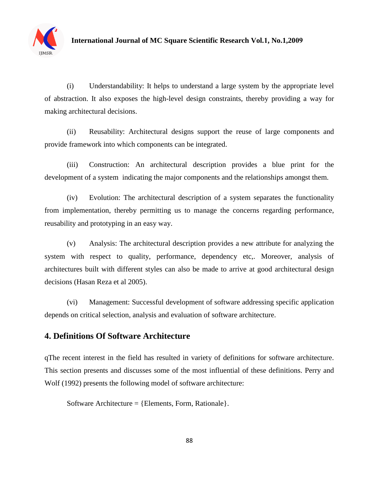

(i) Understandability: It helps to understand a large system by the appropriate level of abstraction. It also exposes the high-level design constraints, thereby providing a way for making architectural decisions.

(ii) Reusability: Architectural designs support the reuse of large components and provide framework into which components can be integrated.

(iii) Construction: An architectural description provides a blue print for the development of a system indicating the major components and the relationships amongst them.

(iv) Evolution: The architectural description of a system separates the functionality from implementation, thereby permitting us to manage the concerns regarding performance, reusability and prototyping in an easy way.

(v) Analysis: The architectural description provides a new attribute for analyzing the system with respect to quality, performance, dependency etc,. Moreover, analysis of architectures built with different styles can also be made to arrive at good architectural design decisions (Hasan Reza et al 2005).

(vi) Management: Successful development of software addressing specific application depends on critical selection, analysis and evaluation of software architecture.

# **4. Definitions Of Software Architecture**

qThe recent interest in the field has resulted in variety of definitions for software architecture. This section presents and discusses some of the most influential of these definitions. Perry and Wolf (1992) presents the following model of software architecture:

Software Architecture  $=$  {Elements, Form, Rationale}.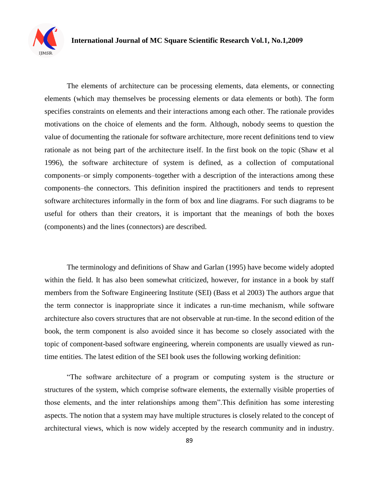

The elements of architecture can be processing elements, data elements, or connecting elements (which may themselves be processing elements or data elements or both). The form specifies constraints on elements and their interactions among each other. The rationale provides motivations on the choice of elements and the form. Although, nobody seems to question the value of documenting the rationale for software architecture, more recent definitions tend to view rationale as not being part of the architecture itself. In the first book on the topic (Shaw et al 1996), the software architecture of system is defined, as a collection of computational components–or simply components–together with a description of the interactions among these components–the connectors. This definition inspired the practitioners and tends to represent software architectures informally in the form of box and line diagrams. For such diagrams to be useful for others than their creators, it is important that the meanings of both the boxes (components) and the lines (connectors) are described.

The terminology and definitions of Shaw and Garlan (1995) have become widely adopted within the field. It has also been somewhat criticized, however, for instance in a book by staff members from the Software Engineering Institute (SEI) (Bass et al 2003) The authors argue that the term connector is inappropriate since it indicates a run-time mechanism, while software architecture also covers structures that are not observable at run-time. In the second edition of the book, the term component is also avoided since it has become so closely associated with the topic of component-based software engineering, wherein components are usually viewed as runtime entities. The latest edition of the SEI book uses the following working definition:

"The software architecture of a program or computing system is the structure or structures of the system, which comprise software elements, the externally visible properties of those elements, and the inter relationships among them".This definition has some interesting aspects. The notion that a system may have multiple structures is closely related to the concept of architectural views, which is now widely accepted by the research community and in industry.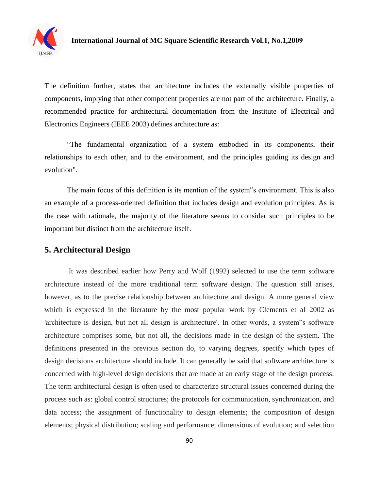

The definition further, states that architecture includes the externally visible properties of components, implying that other component properties are not part of the architecture. Finally, a recommended practice for architectural documentation from the Institute of Electrical and Electronics Engineers (IEEE 2003) defines architecture as:

"The fundamental organization of a system embodied in its components, their relationships to each other, and to the environment, and the principles guiding its design and evolution".

The main focus of this definition is its mention of the system"s environment. This is also an example of a process-oriented definition that includes design and evolution principles. As is the case with rationale, the majority of the literature seems to consider such principles to be important but distinct from the architecture itself.

## **5. Architectural Design**

It was described earlier how Perry and Wolf (1992) selected to use the term software architecture instead of the more traditional term software design. The question still arises, however, as to the precise relationship between architecture and design. A more general view which is expressed in the literature by the most popular work by Clements et al 2002 as 'architecture is design, but not all design is architecture'. In other words, a system"s software architecture comprises some, but not all, the decisions made in the design of the system. The definitions presented in the previous section do, to varying degrees, specify which types of design decisions architecture should include. It can generally be said that software architecture is concerned with high-level design decisions that are made at an early stage of the design process. The term architectural design is often used to characterize structural issues concerned during the process such as: global control structures; the protocols for communication, synchronization, and data access; the assignment of functionality to design elements; the composition of design elements; physical distribution; scaling and performance; dimensions of evolution; and selection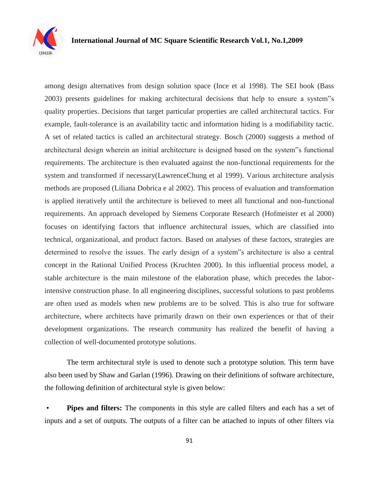

among design alternatives from design solution space (Ince et al 1998). The SEI book (Bass 2003) presents guidelines for making architectural decisions that help to ensure a system"s quality properties. Decisions that target particular properties are called architectural tactics. For example, fault-tolerance is an availability tactic and information hiding is a modifiability tactic. A set of related tactics is called an architectural strategy. Bosch (2000) suggests a method of architectural design wherein an initial architecture is designed based on the system"s functional requirements. The architecture is then evaluated against the non-functional requirements for the system and transformed if necessary(LawrenceChung et al 1999). Various architecture analysis methods are proposed (Liliana Dobrica e al 2002). This process of evaluation and transformation is applied iteratively until the architecture is believed to meet all functional and non-functional requirements. An approach developed by Siemens Corporate Research (Hofmeister et al 2000) focuses on identifying factors that influence architectural issues, which are classified into technical, organizational, and product factors. Based on analyses of these factors, strategies are determined to resolve the issues. The early design of a system"s architecture is also a central concept in the Rational Unified Process (Kruchten 2000). In this influential process model, a stable architecture is the main milestone of the elaboration phase, which precedes the laborintensive construction phase. In all engineering disciplines, successful solutions to past problems are often used as models when new problems are to be solved. This is also true for software architecture, where architects have primarily drawn on their own experiences or that of their development organizations. The research community has realized the benefit of having a collection of well-documented prototype solutions.

The term architectural style is used to denote such a prototype solution. This term have also been used by Shaw and Garlan (1996). Drawing on their definitions of software architecture, the following definition of architectural style is given below:

• **Pipes and filters:** The components in this style are called filters and each has a set of inputs and a set of outputs. The outputs of a filter can be attached to inputs of other filters via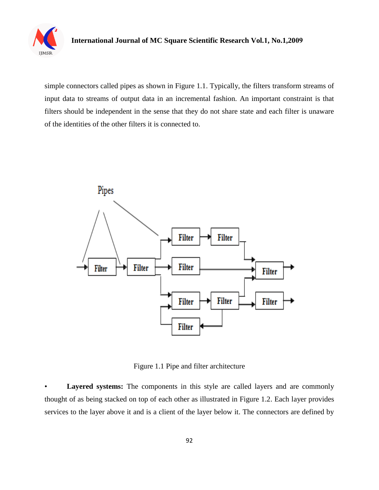

simple connectors called pipes as shown in Figure 1.1. Typically, the filters transform streams of input data to streams of output data in an incremental fashion. An important constraint is that filters should be independent in the sense that they do not share state and each filter is unaware of the identities of the other filters it is connected to.



Figure 1.1 Pipe and filter architecture

Layered systems: The components in this style are called layers and are commonly thought of as being stacked on top of each other as illustrated in Figure 1.2. Each layer provides services to the layer above it and is a client of the layer below it. The connectors are defined by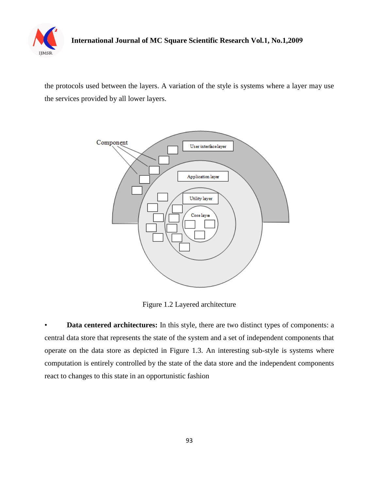

the protocols used between the layers. A variation of the style is systems where a layer may use the services provided by all lower layers.



Figure 1.2 Layered architecture

• **Data centered architectures:** In this style, there are two distinct types of components: a central data store that represents the state of the system and a set of independent components that operate on the data store as depicted in Figure 1.3. An interesting sub-style is systems where computation is entirely controlled by the state of the data store and the independent components react to changes to this state in an opportunistic fashion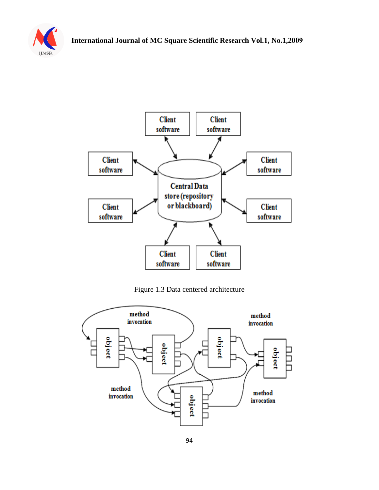



Figure 1.3 Data centered architecture

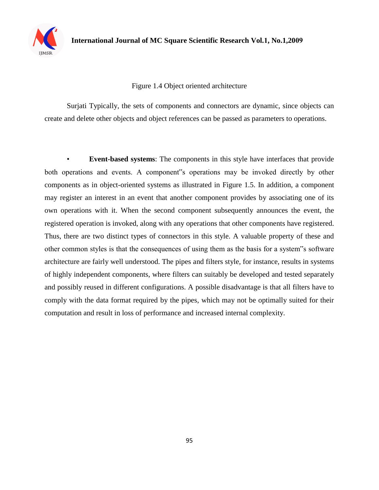

#### Figure 1.4 Object oriented architecture

Surjati Typically, the sets of components and connectors are dynamic, since objects can create and delete other objects and object references can be passed as parameters to operations.

• **Event-based systems**: The components in this style have interfaces that provide both operations and events. A component"s operations may be invoked directly by other components as in object-oriented systems as illustrated in Figure 1.5. In addition, a component may register an interest in an event that another component provides by associating one of its own operations with it. When the second component subsequently announces the event, the registered operation is invoked, along with any operations that other components have registered. Thus, there are two distinct types of connectors in this style. A valuable property of these and other common styles is that the consequences of using them as the basis for a system"s software architecture are fairly well understood. The pipes and filters style, for instance, results in systems of highly independent components, where filters can suitably be developed and tested separately and possibly reused in different configurations. A possible disadvantage is that all filters have to comply with the data format required by the pipes, which may not be optimally suited for their computation and result in loss of performance and increased internal complexity.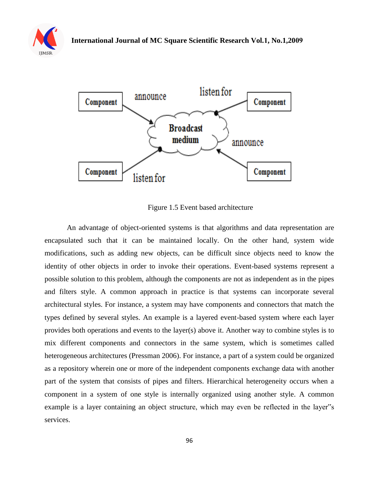



Figure 1.5 Event based architecture

An advantage of object-oriented systems is that algorithms and data representation are encapsulated such that it can be maintained locally. On the other hand, system wide modifications, such as adding new objects, can be difficult since objects need to know the identity of other objects in order to invoke their operations. Event-based systems represent a possible solution to this problem, although the components are not as independent as in the pipes and filters style. A common approach in practice is that systems can incorporate several architectural styles. For instance, a system may have components and connectors that match the types defined by several styles. An example is a layered event-based system where each layer provides both operations and events to the layer(s) above it. Another way to combine styles is to mix different components and connectors in the same system, which is sometimes called heterogeneous architectures (Pressman 2006). For instance, a part of a system could be organized as a repository wherein one or more of the independent components exchange data with another part of the system that consists of pipes and filters. Hierarchical heterogeneity occurs when a component in a system of one style is internally organized using another style. A common example is a layer containing an object structure, which may even be reflected in the layer"s services.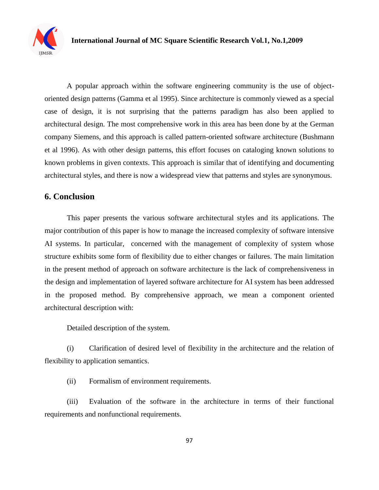

A popular approach within the software engineering community is the use of objectoriented design patterns (Gamma et al 1995). Since architecture is commonly viewed as a special case of design, it is not surprising that the patterns paradigm has also been applied to architectural design. The most comprehensive work in this area has been done by at the German company Siemens, and this approach is called pattern-oriented software architecture (Bushmann et al 1996). As with other design patterns, this effort focuses on cataloging known solutions to known problems in given contexts. This approach is similar that of identifying and documenting architectural styles, and there is now a widespread view that patterns and styles are synonymous.

#### **6. Conclusion**

This paper presents the various software architectural styles and its applications. The major contribution of this paper is how to manage the increased complexity of software intensive AI systems. In particular, concerned with the management of complexity of system whose structure exhibits some form of flexibility due to either changes or failures. The main limitation in the present method of approach on software architecture is the lack of comprehensiveness in the design and implementation of layered software architecture for AI system has been addressed in the proposed method. By comprehensive approach, we mean a component oriented architectural description with:

Detailed description of the system.

(i) Clarification of desired level of flexibility in the architecture and the relation of flexibility to application semantics.

(ii) Formalism of environment requirements.

(iii) Evaluation of the software in the architecture in terms of their functional requirements and nonfunctional requirements.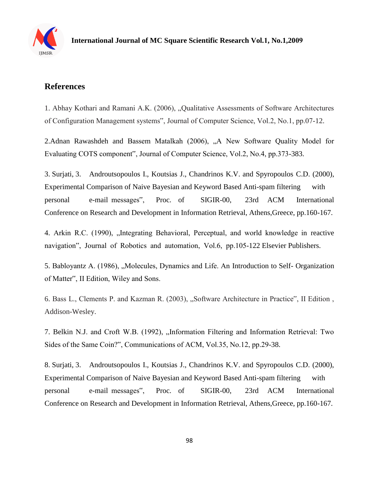

# **References**

1. Abhay Kothari and Ramani A.K. (2006), "Qualitative Assessments of Software Architectures of Configuration Management systems", Journal of Computer Science, Vol.2, No.1, pp.07-12.

2.Adnan Rawashdeh and Bassem Matalkah (2006), "A New Software Quality Model for Evaluating COTS component", Journal of Computer Science, Vol.2, No.4, pp.373-383.

3. Surjati, 3. Androutsopoulos I., Koutsias J., Chandrinos K.V. and Spyropoulos C.D. (2000), Experimental Comparison of Naive Bayesian and Keyword Based Anti-spam filtering with personal e-mail messages", Proc. of SIGIR-00, 23rd ACM International Conference on Research and Development in Information Retrieval, Athens,Greece, pp.160-167.

4. Arkin R.C. (1990), "Integrating Behavioral, Perceptual, and world knowledge in reactive navigation", Journal of Robotics and automation, Vol.6, pp.105-122 Elsevier Publishers.

5. Babloyantz A. (1986), "Molecules, Dynamics and Life. An Introduction to Self- Organization of Matter", II Edition, Wiley and Sons.

6. Bass L., Clements P. and Kazman R. (2003), "Software Architecture in Practice", II Edition, Addison-Wesley.

7. Belkin N.J. and Croft W.B. (1992), "Information Filtering and Information Retrieval: Two Sides of the Same Coin?", Communications of ACM, Vol.35, No.12, pp.29-38.

8. Surjati, 3. Androutsopoulos I., Koutsias J., Chandrinos K.V. and Spyropoulos C.D. (2000), Experimental Comparison of Naive Bayesian and Keyword Based Anti-spam filtering with personal e-mail messages", Proc. of SIGIR-00, 23rd ACM International Conference on Research and Development in Information Retrieval, Athens,Greece, pp.160-167.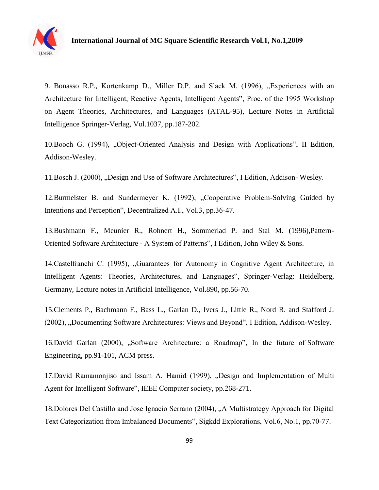

9. Bonasso R.P., Kortenkamp D., Miller D.P. and Slack M. (1996), "Experiences with an Architecture for Intelligent, Reactive Agents, Intelligent Agents", Proc. of the 1995 Workshop on Agent Theories, Architectures, and Languages (ATAL-95), Lecture Notes in Artificial Intelligence Springer-Verlag, Vol.1037, pp.187-202.

10.Booch G. (1994), "Object-Oriented Analysis and Design with Applications", II Edition, Addison-Wesley.

11. Bosch J. (2000), "Design and Use of Software Architectures", I Edition, Addison-Wesley.

12.Burmeister B. and Sundermeyer K. (1992), "Cooperative Problem-Solving Guided by Intentions and Perception", Decentralized A.I., Vol.3, pp.36-47.

13.Bushmann F., Meunier R., Rohnert H., Sommerlad P. and Stal M. (1996),Pattern-Oriented Software Architecture - A System of Patterns", I Edition, John Wiley & Sons.

14.Castelfranchi C. (1995), "Guarantees for Autonomy in Cognitive Agent Architecture, in Intelligent Agents: Theories, Architectures, and Languages", Springer-Verlag: Heidelberg, Germany, Lecture notes in Artificial Intelligence, Vol.890, pp.56-70.

15.Clements P., Bachmann F., Bass L., Garlan D., Ivers J., Little R., Nord R. and Stafford J. (2002), "Documenting Software Architectures: Views and Beyond", I Edition, Addison-Wesley.

16.David Garlan (2000), "Software Architecture: a Roadmap", In the future of Software Engineering, pp.91-101, ACM press.

17.David Ramamonjiso and Issam A. Hamid (1999), "Design and Implementation of Multi Agent for Intelligent Software", IEEE Computer society, pp.268-271.

18.Dolores Del Castillo and Jose Ignacio Serrano (2004), "A Multistrategy Approach for Digital Text Categorization from Imbalanced Documents", Sigkdd Explorations, Vol.6, No.1, pp.70-77.